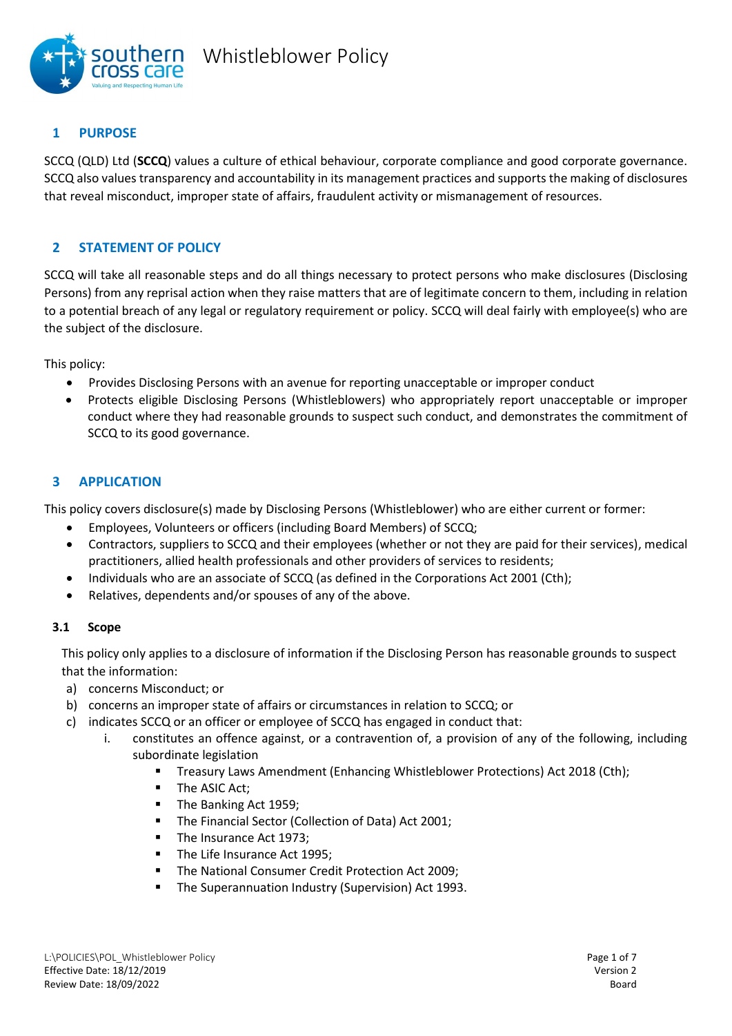

# **1 PURPOSE**

SCCQ (QLD) Ltd (**SCCQ**) values a culture of ethical behaviour, corporate compliance and good corporate governance. SCCQ also values transparency and accountability in its management practices and supports the making of disclosures that reveal misconduct, improper state of affairs, fraudulent activity or mismanagement of resources.

# **2 STATEMENT OF POLICY**

SCCQ will take all reasonable steps and do all things necessary to protect persons who make disclosures (Disclosing Persons) from any reprisal action when they raise matters that are of legitimate concern to them, including in relation to a potential breach of any legal or regulatory requirement or policy. SCCQ will deal fairly with employee(s) who are the subject of the disclosure.

This policy:

- Provides Disclosing Persons with an avenue for reporting unacceptable or improper conduct
- Protects eligible Disclosing Persons (Whistleblowers) who appropriately report unacceptable or improper conduct where they had reasonable grounds to suspect such conduct, and demonstrates the commitment of SCCQ to its good governance.

# **3 APPLICATION**

This policy covers disclosure(s) made by Disclosing Persons (Whistleblower) who are either current or former:

- Employees, Volunteers or officers (including Board Members) of SCCQ;
- Contractors, suppliers to SCCQ and their employees (whether or not they are paid for their services), medical practitioners, allied health professionals and other providers of services to residents;
- Individuals who are an associate of SCCQ (as defined in the Corporations Act 2001 (Cth);
- Relatives, dependents and/or spouses of any of the above.

## **3.1 Scope**

This policy only applies to a disclosure of information if the Disclosing Person has reasonable grounds to suspect that the information:

- a) concerns Misconduct; or
- b) concerns an improper state of affairs or circumstances in relation to SCCQ; or
- c) indicates SCCQ or an officer or employee of SCCQ has engaged in conduct that:
	- i. constitutes an offence against, or a contravention of, a provision of any of the following, including subordinate legislation
		- **•** Treasury Laws Amendment (Enhancing Whistleblower Protections) Act 2018 (Cth);
		- **■** The ASIC Act;
		- The Banking Act 1959;
		- The Financial Sector (Collection of Data) Act 2001;
		- The Insurance Act 1973;
		- The Life Insurance Act 1995;
		- The National Consumer Credit Protection Act 2009;
		- The Superannuation Industry (Supervision) Act 1993.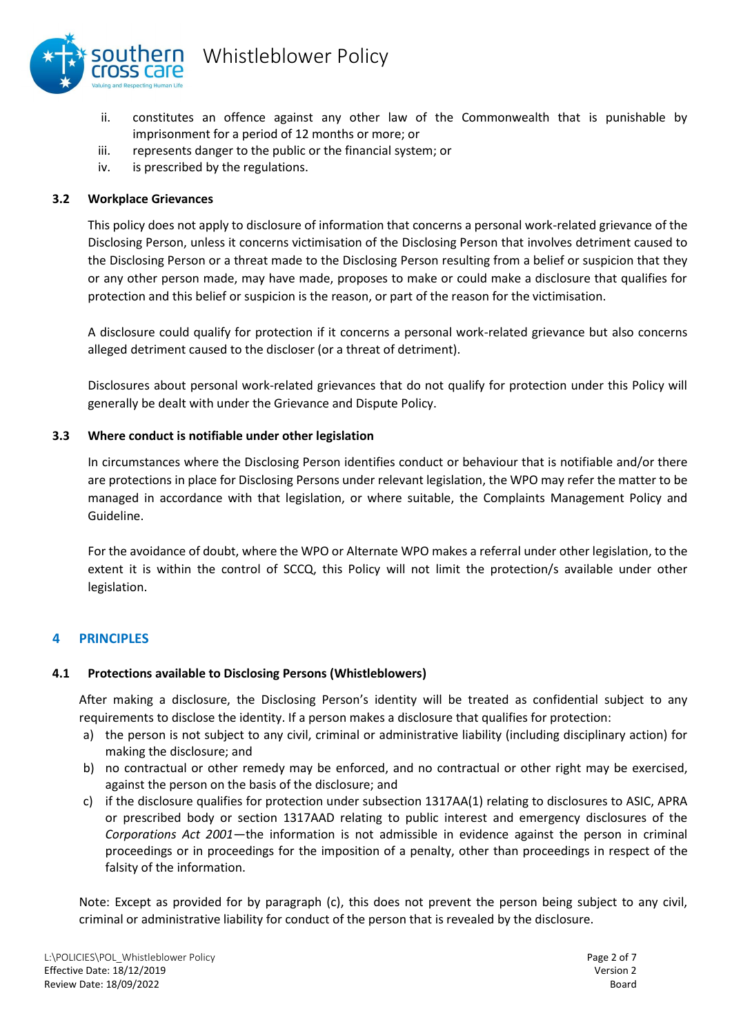

- ii. constitutes an offence against any other law of the Commonwealth that is punishable by imprisonment for a period of 12 months or more; or
- iii. represents danger to the public or the financial system; or
- iv. is prescribed by the regulations.

### **3.2 Workplace Grievances**

This policy does not apply to disclosure of information that concerns a personal work-related grievance of the Disclosing Person, unless it concerns victimisation of the Disclosing Person that involves detriment caused to the Disclosing Person or a threat made to the Disclosing Person resulting from a belief or suspicion that they or any other person made, may have made, proposes to make or could make a disclosure that qualifies for protection and this belief or suspicion is the reason, or part of the reason for the victimisation.

A disclosure could qualify for protection if it concerns a personal work-related grievance but also concerns alleged detriment caused to the discloser (or a threat of detriment).

Disclosures about personal work-related grievances that do not qualify for protection under this Policy will generally be dealt with under the Grievance and Dispute Policy.

### **3.3 Where conduct is notifiable under other legislation**

In circumstances where the Disclosing Person identifies conduct or behaviour that is notifiable and/or there are protections in place for Disclosing Persons under relevant legislation, the WPO may refer the matter to be managed in accordance with that legislation, or where suitable, the Complaints Management Policy and Guideline.

For the avoidance of doubt, where the WPO or Alternate WPO makes a referral under other legislation, to the extent it is within the control of SCCQ, this Policy will not limit the protection/s available under other legislation.

## **4 PRINCIPLES**

#### **4.1 Protections available to Disclosing Persons (Whistleblowers)**

After making a disclosure, the Disclosing Person's identity will be treated as confidential subject to any requirements to disclose the identity. If a person makes a disclosure that qualifies for protection:

- a) the person is not subject to any civil, criminal or administrative liability (including disciplinary action) for making the disclosure; and
- b) no contractual or other remedy may be enforced, and no contractual or other right may be exercised, against the person on the basis of the disclosure; and
- c) if the disclosure qualifies for protection under subsection 1317AA(1) relating to disclosures to ASIC, APRA or prescribed body or section 1317AAD relating to public interest and emergency disclosures of the *Corporations Act 2001*—the information is not admissible in evidence against the person in criminal proceedings or in proceedings for the imposition of a penalty, other than proceedings in respect of the falsity of the information.

Note: Except as provided for by paragraph (c), this does not prevent the person being subject to any civil, criminal or administrative liability for conduct of the person that is revealed by the disclosure.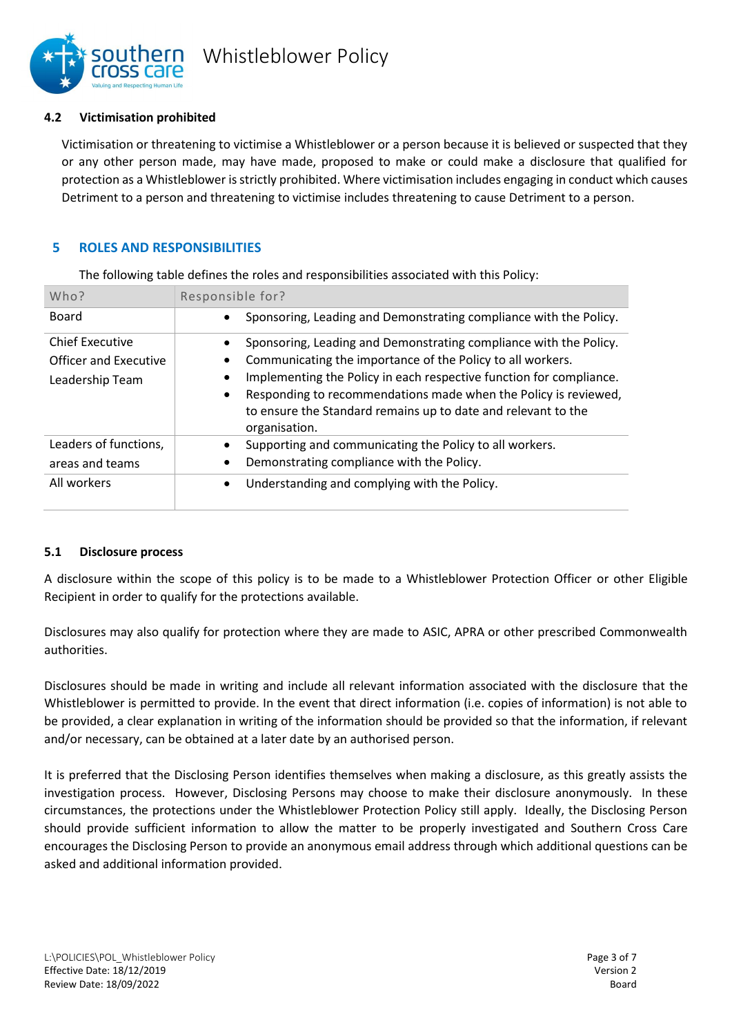

#### **4.2 Victimisation prohibited**

Victimisation or threatening to victimise a Whistleblower or a person because it is believed or suspected that they or any other person made, may have made, proposed to make or could make a disclosure that qualified for protection as a Whistleblower is strictly prohibited. Where victimisation includes engaging in conduct which causes Detriment to a person and threatening to victimise includes threatening to cause Detriment to a person.

### **5 ROLES AND RESPONSIBILITIES**

The following table defines the roles and responsibilities associated with this Policy:

| Who?                                                               | Responsible for?                                                                                                                                                                                                                                                                                                                                                         |  |  |  |
|--------------------------------------------------------------------|--------------------------------------------------------------------------------------------------------------------------------------------------------------------------------------------------------------------------------------------------------------------------------------------------------------------------------------------------------------------------|--|--|--|
| Board                                                              | Sponsoring, Leading and Demonstrating compliance with the Policy.                                                                                                                                                                                                                                                                                                        |  |  |  |
| <b>Chief Executive</b><br>Officer and Executive<br>Leadership Team | Sponsoring, Leading and Demonstrating compliance with the Policy.<br>Communicating the importance of the Policy to all workers.<br>Implementing the Policy in each respective function for compliance.<br>Responding to recommendations made when the Policy is reviewed,<br>$\bullet$<br>to ensure the Standard remains up to date and relevant to the<br>organisation. |  |  |  |
| Leaders of functions,<br>areas and teams<br>All workers            | Supporting and communicating the Policy to all workers.<br>Demonstrating compliance with the Policy.<br>٠<br>Understanding and complying with the Policy.<br>٠                                                                                                                                                                                                           |  |  |  |

#### **5.1 Disclosure process**

A disclosure within the scope of this policy is to be made to a Whistleblower Protection Officer or other Eligible Recipient in order to qualify for the protections available.

Disclosures may also qualify for protection where they are made to ASIC, APRA or other prescribed Commonwealth authorities.

Disclosures should be made in writing and include all relevant information associated with the disclosure that the Whistleblower is permitted to provide. In the event that direct information (i.e. copies of information) is not able to be provided, a clear explanation in writing of the information should be provided so that the information, if relevant and/or necessary, can be obtained at a later date by an authorised person.

It is preferred that the Disclosing Person identifies themselves when making a disclosure, as this greatly assists the investigation process. However, Disclosing Persons may choose to make their disclosure anonymously. In these circumstances, the protections under the Whistleblower Protection Policy still apply. Ideally, the Disclosing Person should provide sufficient information to allow the matter to be properly investigated and Southern Cross Care encourages the Disclosing Person to provide an anonymous email address through which additional questions can be asked and additional information provided.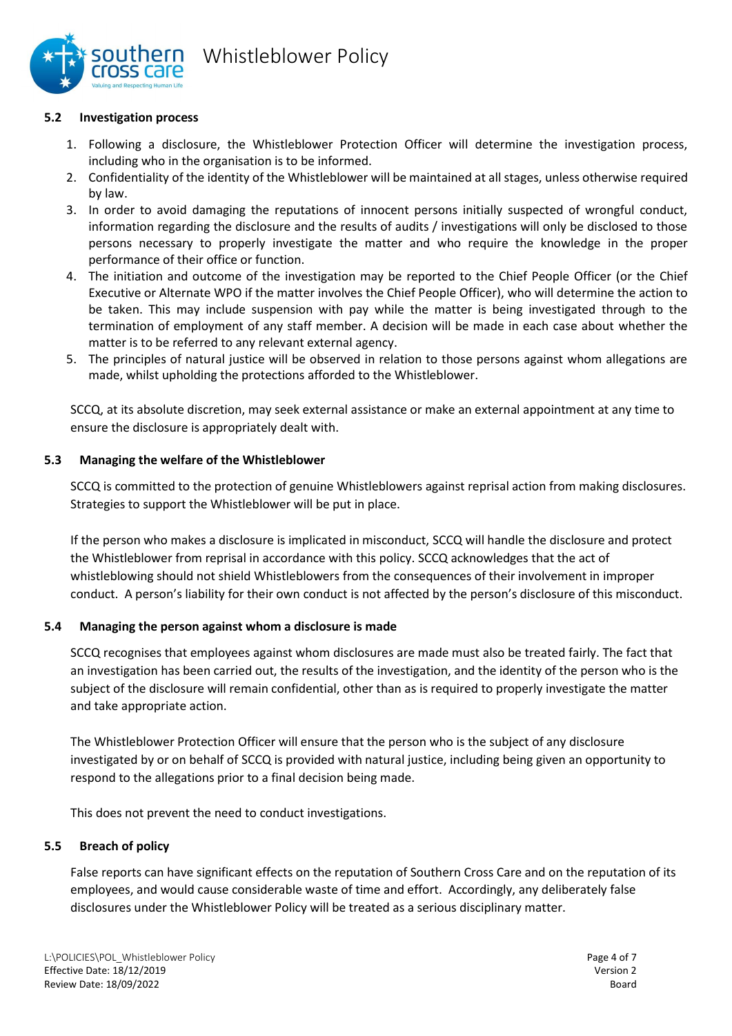

### **5.2 Investigation process**

- 1. Following a disclosure, the Whistleblower Protection Officer will determine the investigation process, including who in the organisation is to be informed.
- 2. Confidentiality of the identity of the Whistleblower will be maintained at all stages, unless otherwise required by law.
- 3. In order to avoid damaging the reputations of innocent persons initially suspected of wrongful conduct, information regarding the disclosure and the results of audits / investigations will only be disclosed to those persons necessary to properly investigate the matter and who require the knowledge in the proper performance of their office or function.
- 4. The initiation and outcome of the investigation may be reported to the Chief People Officer (or the Chief Executive or Alternate WPO if the matter involves the Chief People Officer), who will determine the action to be taken. This may include suspension with pay while the matter is being investigated through to the termination of employment of any staff member. A decision will be made in each case about whether the matter is to be referred to any relevant external agency.
- 5. The principles of natural justice will be observed in relation to those persons against whom allegations are made, whilst upholding the protections afforded to the Whistleblower.

SCCQ, at its absolute discretion, may seek external assistance or make an external appointment at any time to ensure the disclosure is appropriately dealt with.

### **5.3 Managing the welfare of the Whistleblower**

SCCQ is committed to the protection of genuine Whistleblowers against reprisal action from making disclosures. Strategies to support the Whistleblower will be put in place.

If the person who makes a disclosure is implicated in misconduct, SCCQ will handle the disclosure and protect the Whistleblower from reprisal in accordance with this policy. SCCQ acknowledges that the act of whistleblowing should not shield Whistleblowers from the consequences of their involvement in improper conduct. A person's liability for their own conduct is not affected by the person's disclosure of this misconduct.

## **5.4 Managing the person against whom a disclosure is made**

SCCQ recognises that employees against whom disclosures are made must also be treated fairly. The fact that an investigation has been carried out, the results of the investigation, and the identity of the person who is the subject of the disclosure will remain confidential, other than as is required to properly investigate the matter and take appropriate action.

The Whistleblower Protection Officer will ensure that the person who is the subject of any disclosure investigated by or on behalf of SCCQ is provided with natural justice, including being given an opportunity to respond to the allegations prior to a final decision being made.

This does not prevent the need to conduct investigations.

#### **5.5 Breach of policy**

False reports can have significant effects on the reputation of Southern Cross Care and on the reputation of its employees, and would cause considerable waste of time and effort. Accordingly, any deliberately false disclosures under the Whistleblower Policy will be treated as a serious disciplinary matter.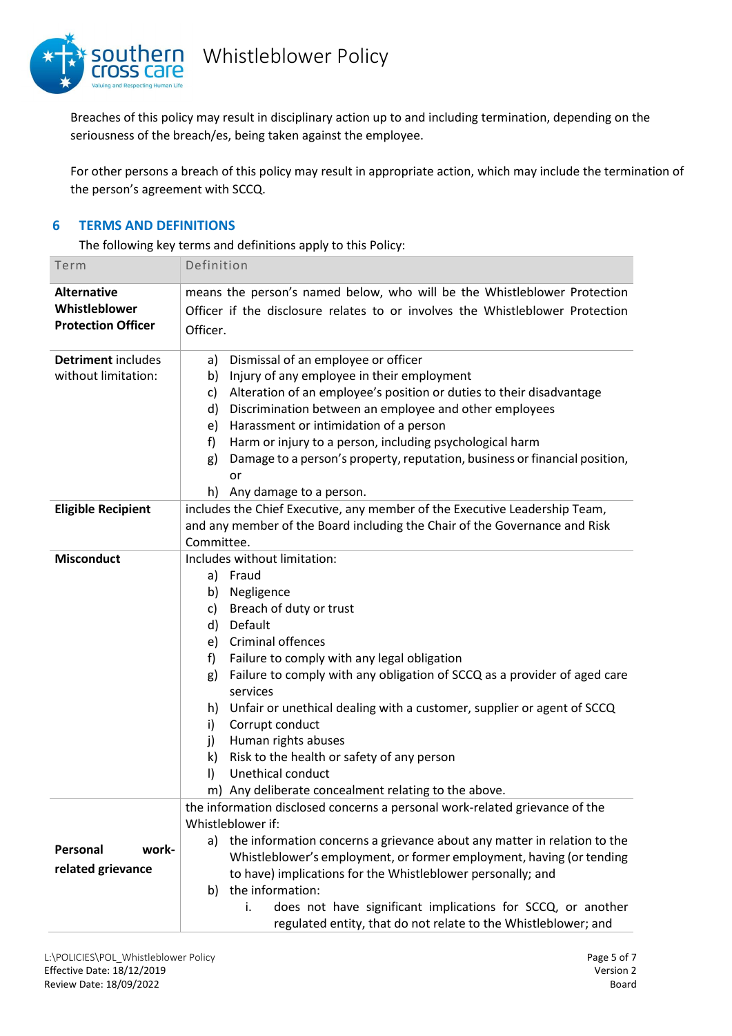

Breaches of this policy may result in disciplinary action up to and including termination, depending on the seriousness of the breach/es, being taken against the employee.

For other persons a breach of this policy may result in appropriate action, which may include the termination of the person's agreement with SCCQ.

## **6 TERMS AND DEFINITIONS**

The following key terms and definitions apply to this Policy:

| Term                                                             | Definition                                                                                                                                                                                                                                                                                                                                                                                                                                                                                                                                                                  |  |  |
|------------------------------------------------------------------|-----------------------------------------------------------------------------------------------------------------------------------------------------------------------------------------------------------------------------------------------------------------------------------------------------------------------------------------------------------------------------------------------------------------------------------------------------------------------------------------------------------------------------------------------------------------------------|--|--|
| <b>Alternative</b><br>Whistleblower<br><b>Protection Officer</b> | means the person's named below, who will be the Whistleblower Protection<br>Officer if the disclosure relates to or involves the Whistleblower Protection<br>Officer.                                                                                                                                                                                                                                                                                                                                                                                                       |  |  |
| Detriment includes<br>without limitation:                        | Dismissal of an employee or officer<br>a)<br>Injury of any employee in their employment<br>b)<br>Alteration of an employee's position or duties to their disadvantage<br>C)<br>Discrimination between an employee and other employees<br>d)<br>Harassment or intimidation of a person<br>e)<br>f<br>Harm or injury to a person, including psychological harm<br>Damage to a person's property, reputation, business or financial position,<br>g)<br>or<br>h) Any damage to a person.                                                                                        |  |  |
| <b>Eligible Recipient</b>                                        | includes the Chief Executive, any member of the Executive Leadership Team,<br>and any member of the Board including the Chair of the Governance and Risk<br>Committee.                                                                                                                                                                                                                                                                                                                                                                                                      |  |  |
| <b>Misconduct</b>                                                | Includes without limitation:<br>a) Fraud<br>Negligence<br>b)<br>Breach of duty or trust<br>c)<br>Default<br>d)<br>Criminal offences<br>e)<br>Failure to comply with any legal obligation<br>f)<br>Failure to comply with any obligation of SCCQ as a provider of aged care<br>g)<br>services<br>h) Unfair or unethical dealing with a customer, supplier or agent of SCCQ<br>Corrupt conduct<br>i)<br>Human rights abuses<br>j)<br>Risk to the health or safety of any person<br>k)<br>$\vert$<br>Unethical conduct<br>m) Any deliberate concealment relating to the above. |  |  |
| Personal<br>work-<br>related grievance                           | the information disclosed concerns a personal work-related grievance of the<br>Whistleblower if:<br>the information concerns a grievance about any matter in relation to the<br>a)<br>Whistleblower's employment, or former employment, having (or tending<br>to have) implications for the Whistleblower personally; and<br>the information:<br>b)<br>does not have significant implications for SCCQ, or another<br>i.<br>regulated entity, that do not relate to the Whistleblower; and                                                                                  |  |  |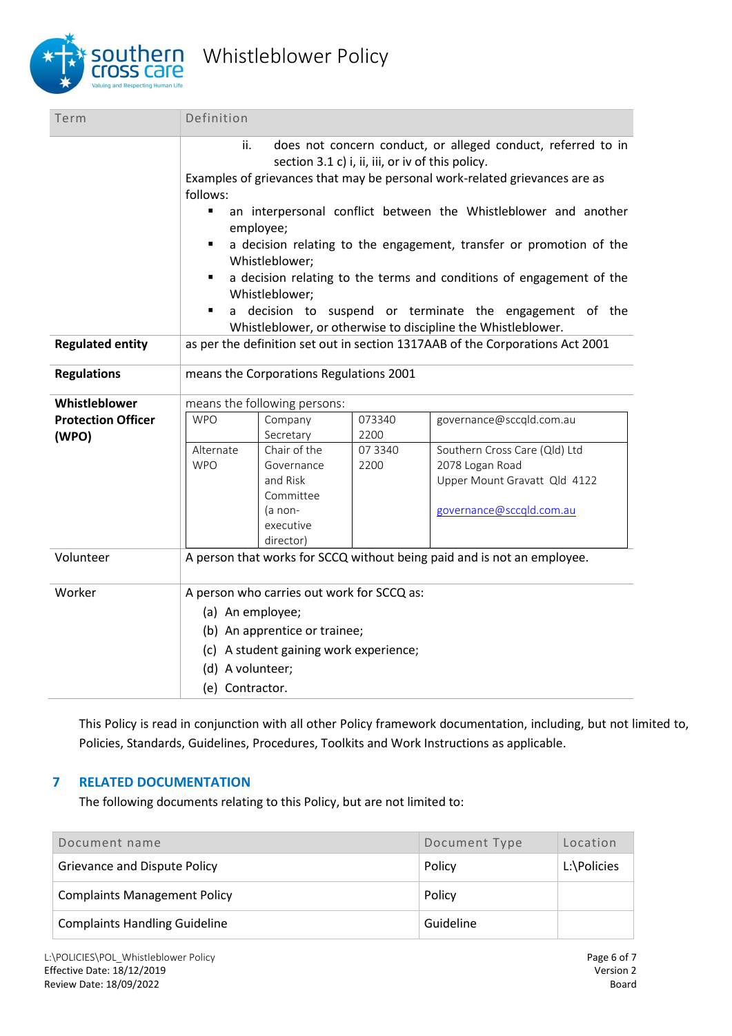

| Definition                                                                                                                                                                                                                                                                                                                                                                                                                                                                                                                                                                                                                                   |                                                                                          |                 |                                                                                                              |  |  |
|----------------------------------------------------------------------------------------------------------------------------------------------------------------------------------------------------------------------------------------------------------------------------------------------------------------------------------------------------------------------------------------------------------------------------------------------------------------------------------------------------------------------------------------------------------------------------------------------------------------------------------------------|------------------------------------------------------------------------------------------|-----------------|--------------------------------------------------------------------------------------------------------------|--|--|
| does not concern conduct, or alleged conduct, referred to in<br>ii.<br>section 3.1 c) i, ii, iii, or iv of this policy.<br>Examples of grievances that may be personal work-related grievances are as<br>follows:<br>an interpersonal conflict between the Whistleblower and another<br>$\blacksquare$<br>employee;<br>a decision relating to the engagement, transfer or promotion of the<br>п<br>Whistleblower;<br>a decision relating to the terms and conditions of engagement of the<br>Whistleblower;<br>a decision to suspend or terminate the engagement of the<br>٠<br>Whistleblower, or otherwise to discipline the Whistleblower. |                                                                                          |                 |                                                                                                              |  |  |
| as per the definition set out in section 1317AAB of the Corporations Act 2001                                                                                                                                                                                                                                                                                                                                                                                                                                                                                                                                                                |                                                                                          |                 |                                                                                                              |  |  |
| means the Corporations Regulations 2001                                                                                                                                                                                                                                                                                                                                                                                                                                                                                                                                                                                                      |                                                                                          |                 |                                                                                                              |  |  |
|                                                                                                                                                                                                                                                                                                                                                                                                                                                                                                                                                                                                                                              |                                                                                          |                 |                                                                                                              |  |  |
| <b>WPO</b>                                                                                                                                                                                                                                                                                                                                                                                                                                                                                                                                                                                                                                   | Company<br>Secretary                                                                     | 073340<br>2200  | governance@sccqld.com.au                                                                                     |  |  |
| Alternate<br><b>WPO</b>                                                                                                                                                                                                                                                                                                                                                                                                                                                                                                                                                                                                                      | Chair of the<br>Governance<br>and Risk<br>Committee<br>(a non-<br>executive<br>director) | 07 3340<br>2200 | Southern Cross Care (Qld) Ltd<br>2078 Logan Road<br>Upper Mount Gravatt Qld 4122<br>governance@sccqld.com.au |  |  |
| A person that works for SCCQ without being paid and is not an employee.                                                                                                                                                                                                                                                                                                                                                                                                                                                                                                                                                                      |                                                                                          |                 |                                                                                                              |  |  |
| A person who carries out work for SCCQ as:<br>(a) An employee;<br>(b) An apprentice or trainee;<br>(c) A student gaining work experience;<br>(d) A volunteer;                                                                                                                                                                                                                                                                                                                                                                                                                                                                                |                                                                                          |                 |                                                                                                              |  |  |
|                                                                                                                                                                                                                                                                                                                                                                                                                                                                                                                                                                                                                                              |                                                                                          | (e) Contractor. | means the following persons:                                                                                 |  |  |

This Policy is read in conjunction with all other Policy framework documentation, including, but not limited to, Policies, Standards, Guidelines, Procedures, Toolkits and Work Instructions as applicable.

## **7 RELATED DOCUMENTATION**

The following documents relating to this Policy, but are not limited to:

| Document name                        | Document Type | Location    |
|--------------------------------------|---------------|-------------|
| <b>Grievance and Dispute Policy</b>  | Policy        | L:\Policies |
| <b>Complaints Management Policy</b>  | Policy        |             |
| <b>Complaints Handling Guideline</b> | Guideline     |             |